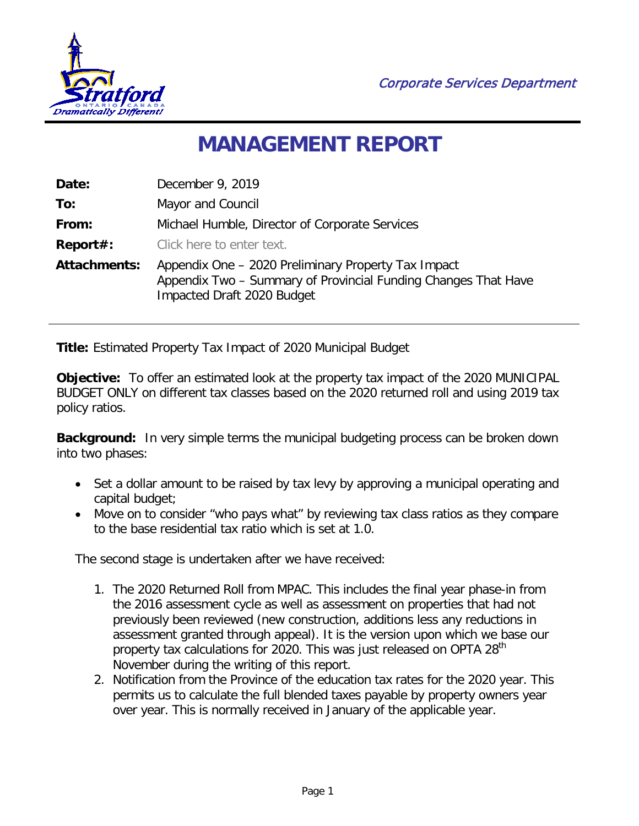

Corporate Services Department

## **MANAGEMENT REPORT**

| Date:               | December 9, 2019                                                                                                                                    |  |  |
|---------------------|-----------------------------------------------------------------------------------------------------------------------------------------------------|--|--|
| To:                 | Mayor and Council                                                                                                                                   |  |  |
| From:               | Michael Humble, Director of Corporate Services                                                                                                      |  |  |
| Report#:            | Click here to enter text.                                                                                                                           |  |  |
| <b>Attachments:</b> | Appendix One - 2020 Preliminary Property Tax Impact<br>Appendix Two - Summary of Provincial Funding Changes That Have<br>Impacted Draft 2020 Budget |  |  |

**Title:** Estimated Property Tax Impact of 2020 Municipal Budget

**Objective:** To offer an estimated look at the property tax impact of the 2020 MUNICIPAL BUDGET ONLY on different tax classes based on the 2020 returned roll and using 2019 tax policy ratios.

**Background:** In very simple terms the municipal budgeting process can be broken down into two phases:

- Set a dollar amount to be raised by tax levy by approving a municipal operating and capital budget;
- Move on to consider "who pays what" by reviewing tax class ratios as they compare to the base residential tax ratio which is set at 1.0.

The second stage is undertaken after we have received:

- 1. The 2020 Returned Roll from MPAC. This includes the final year phase-in from the 2016 assessment cycle as well as assessment on properties that had not previously been reviewed (new construction, additions less any reductions in assessment granted through appeal). It is the version upon which we base our property tax calculations for 2020. This was just released on OPTA 28<sup>th</sup> November during the writing of this report.
- 2. Notification from the Province of the education tax rates for the 2020 year. This permits us to calculate the full blended taxes payable by property owners year over year. This is normally received in January of the applicable year.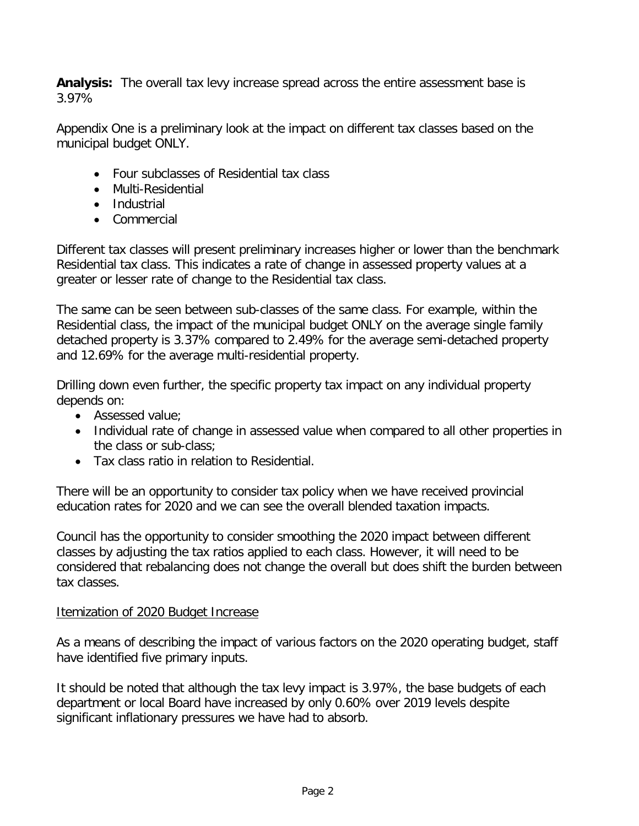**Analysis:** The overall tax levy increase spread across the entire assessment base is 3.97%

Appendix One is a preliminary look at the impact on different tax classes based on the municipal budget ONLY.

- Four subclasses of Residential tax class
- Multi-Residential
- Industrial
- Commercial

Different tax classes will present preliminary increases higher or lower than the benchmark Residential tax class. This indicates a rate of change in assessed property values at a greater or lesser rate of change to the Residential tax class.

The same can be seen between sub-classes of the same class. For example, within the Residential class, the impact of the municipal budget ONLY on the average single family detached property is 3.37% compared to 2.49% for the average semi-detached property and 12.69% for the average multi-residential property.

Drilling down even further, the specific property tax impact on any individual property depends on:

- Assessed value;
- Individual rate of change in assessed value when compared to all other properties in the class or sub-class;
- Tax class ratio in relation to Residential.

There will be an opportunity to consider tax policy when we have received provincial education rates for 2020 and we can see the overall blended taxation impacts.

Council has the opportunity to consider smoothing the 2020 impact between different classes by adjusting the tax ratios applied to each class. However, it will need to be considered that rebalancing does not change the overall but does shift the burden between tax classes.

## Itemization of 2020 Budget Increase

As a means of describing the impact of various factors on the 2020 operating budget, staff have identified five primary inputs.

It should be noted that although the tax levy impact is 3.97%, the base budgets of each department or local Board have increased by only 0.60% over 2019 levels despite significant inflationary pressures we have had to absorb.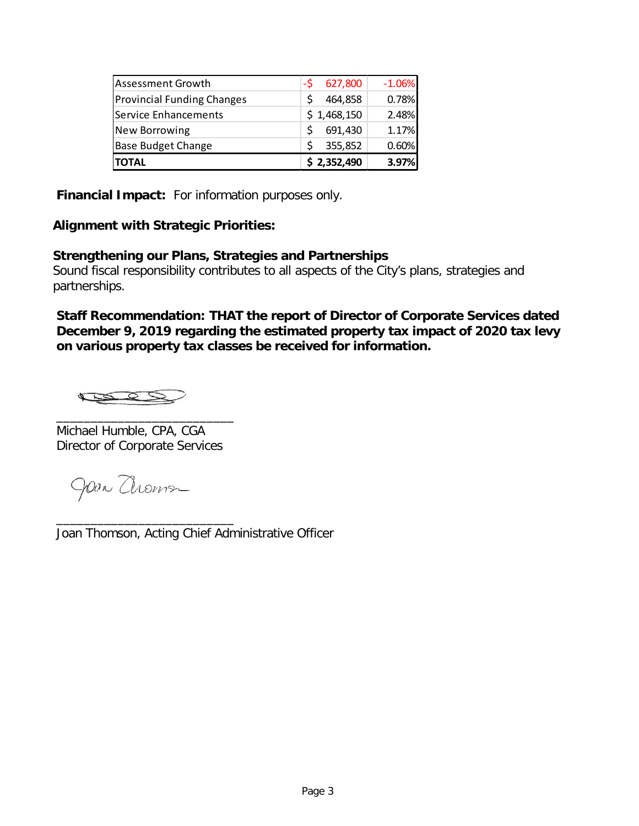| <b>TOTAL</b>                      | \$2,352,490   | 3.97%    |
|-----------------------------------|---------------|----------|
| <b>Base Budget Change</b>         | Ś<br>355,852  | 0.60%    |
| <b>New Borrowing</b>              | 691,430       | 1.17%    |
| Service Enhancements              | \$1,468,150   | 2.48%    |
| <b>Provincial Funding Changes</b> | 464,858       | 0.78%    |
| <b>Assessment Growth</b>          | 627,800<br>-S | $-1.06%$ |

**Financial Impact:** For information purposes only.

## **Alignment with Strategic Priorities:**

## **Strengthening our Plans, Strategies and Partnerships**

Sound fiscal responsibility contributes to all aspects of the City's plans, strategies and partnerships.

**Staff Recommendation: THAT the report of Director of Corporate Services dated December 9, 2019 regarding the estimated property tax impact of 2020 tax levy on various property tax classes be received for information.**

Æ

\_\_\_\_\_\_\_\_\_\_\_\_\_\_\_\_\_\_\_\_\_\_\_\_\_\_ Michael Humble, CPA, CGA Director of Corporate Services

Joan Choma

\_\_\_\_\_\_\_\_\_\_\_\_\_\_\_\_\_\_\_\_\_\_\_\_\_\_ Joan Thomson, Acting Chief Administrative Officer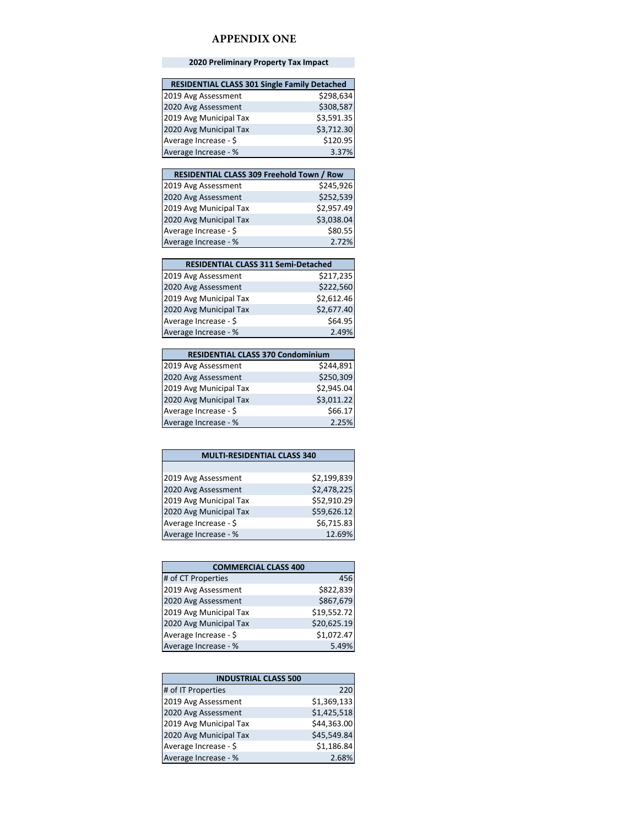#### **APPENDIX ONE**

#### **2020 Preliminary Property Tax Impact**

| <b>RESIDENTIAL CLASS 301 Single Family Detached</b> |            |
|-----------------------------------------------------|------------|
| 2019 Avg Assessment                                 | \$298,634  |
| 2020 Avg Assessment                                 | \$308,587  |
| 2019 Avg Municipal Tax                              | \$3,591.35 |
| 2020 Avg Municipal Tax                              | \$3,712.30 |
| Average Increase - \$                               | \$120.95   |
| Average Increase - %                                | 3.37%      |

| <b>RESIDENTIAL CLASS 309 Freehold Town / Row</b> |            |
|--------------------------------------------------|------------|
| 2019 Avg Assessment                              | \$245,926  |
| 2020 Avg Assessment                              | \$252,539  |
| 2019 Avg Municipal Tax                           | \$2,957.49 |
| 2020 Avg Municipal Tax                           | \$3,038.04 |
| Average Increase - \$                            | \$80.55    |
| Average Increase - %                             | 2.72%      |

| <b>RESIDENTIAL CLASS 311 Semi-Detached</b> |            |
|--------------------------------------------|------------|
| 2019 Avg Assessment                        | \$217,235  |
| 2020 Avg Assessment                        | \$222,560  |
| 2019 Avg Municipal Tax                     | \$2,612.46 |
| 2020 Avg Municipal Tax                     | \$2,677.40 |
| Average Increase - \$                      | \$64.95    |
| Average Increase - %                       | 2.49%      |

| <b>RESIDENTIAL CLASS 370 Condominium</b> |            |
|------------------------------------------|------------|
| 2019 Avg Assessment                      | \$244,891  |
| 2020 Avg Assessment                      | \$250,309  |
| 2019 Avg Municipal Tax                   | \$2,945.04 |
| 2020 Avg Municipal Tax                   | \$3,011.22 |
| Average Increase - \$                    | \$66.17    |
| Average Increase - %                     | 2.25%      |

| <b>MULTI-RESIDENTIAL CLASS 340</b> |             |
|------------------------------------|-------------|
|                                    |             |
| 2019 Avg Assessment                | \$2,199,839 |
| 2020 Avg Assessment                | \$2,478,225 |
| 2019 Avg Municipal Tax             | \$52,910.29 |
| 2020 Avg Municipal Tax             | \$59,626.12 |
| Average Increase - \$              | \$6,715.83  |
| Average Increase - %               | 12.69%      |

| <b>COMMERCIAL CLASS 400</b> |             |
|-----------------------------|-------------|
| # of CT Properties          | 456         |
| 2019 Avg Assessment         | \$822,839   |
| 2020 Avg Assessment         | \$867,679   |
| 2019 Avg Municipal Tax      | \$19,552.72 |
| 2020 Avg Municipal Tax      | \$20,625.19 |
| Average Increase - \$       | \$1,072.47  |
| Average Increase - %        | 5.49%       |

| <b>INDUSTRIAL CLASS 500</b> |             |  |  |
|-----------------------------|-------------|--|--|
| # of IT Properties          | 220         |  |  |
| 2019 Avg Assessment         | \$1,369,133 |  |  |
| 2020 Avg Assessment         | \$1,425,518 |  |  |
| 2019 Avg Municipal Tax      | \$44,363.00 |  |  |
| 2020 Avg Municipal Tax      | \$45,549.84 |  |  |
| Average Increase - \$       | \$1,186.84  |  |  |
| Average Increase - %        | 2.68%       |  |  |